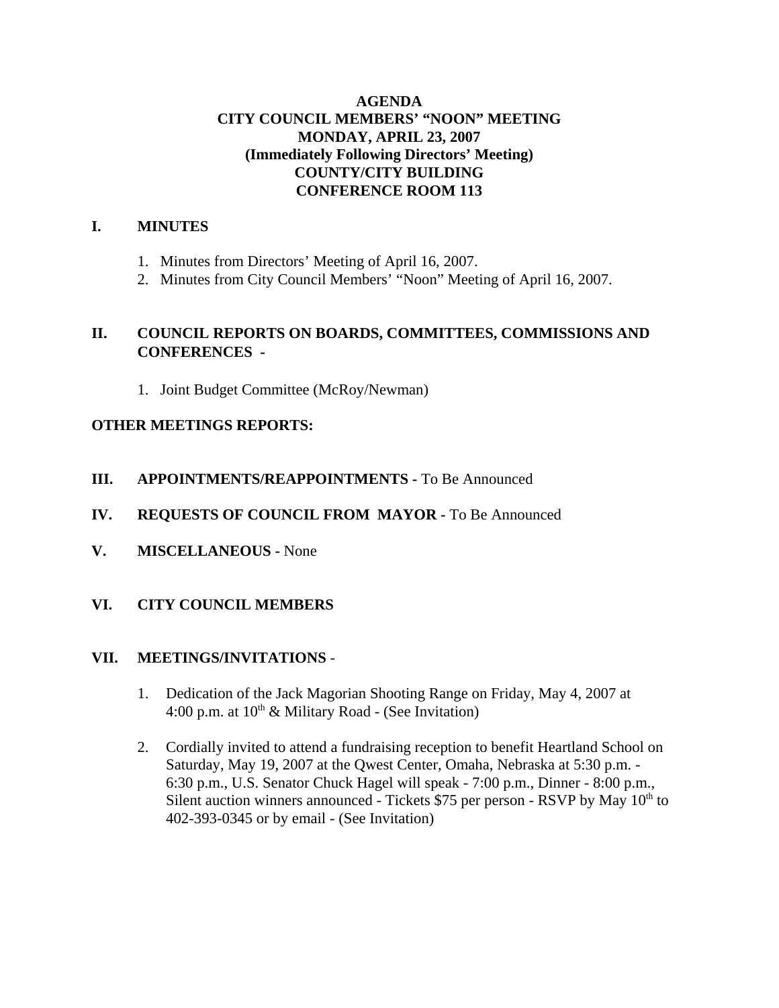## **AGENDA CITY COUNCIL MEMBERS' "NOON" MEETING MONDAY, APRIL 23, 2007 (Immediately Following Directors' Meeting) COUNTY/CITY BUILDING CONFERENCE ROOM 113**

# **I. MINUTES**

- 1. Minutes from Directors' Meeting of April 16, 2007.
- 2. Minutes from City Council Members' "Noon" Meeting of April 16, 2007.

# **II. COUNCIL REPORTS ON BOARDS, COMMITTEES, COMMISSIONS AND CONFERENCES -**

1. Joint Budget Committee (McRoy/Newman)

# **OTHER MEETINGS REPORTS:**

- **III.** APPOINTMENTS/REAPPOINTMENTS To Be Announced
- **IV. REQUESTS OF COUNCIL FROM MAYOR -** To Be Announced
- **V. MISCELLANEOUS** None
- **VI. CITY COUNCIL MEMBERS**

## **VII. MEETINGS/INVITATIONS** -

- 1. Dedication of the Jack Magorian Shooting Range on Friday, May 4, 2007 at 4:00 p.m. at  $10^{th}$  & Military Road - (See Invitation)
- 2. Cordially invited to attend a fundraising reception to benefit Heartland School on Saturday, May 19, 2007 at the Qwest Center, Omaha, Nebraska at 5:30 p.m. - 6:30 p.m., U.S. Senator Chuck Hagel will speak - 7:00 p.m., Dinner - 8:00 p.m., Silent auction winners announced - Tickets \$75 per person - RSVP by May  $10<sup>th</sup>$  to 402-393-0345 or by email - (See Invitation)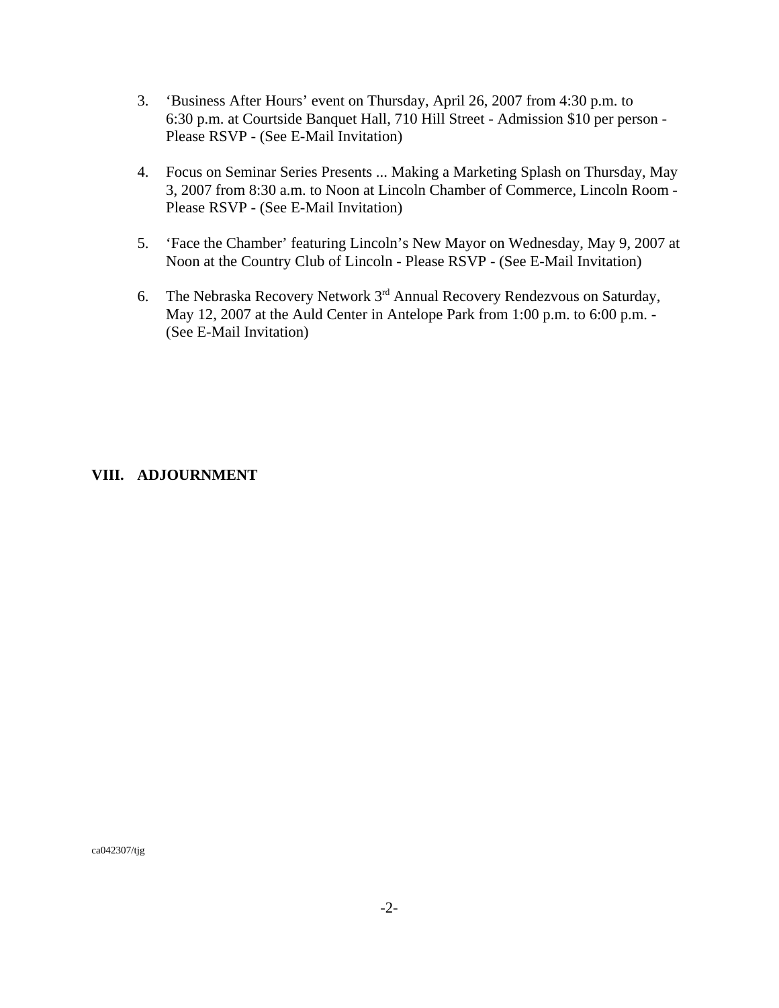- 3. 'Business After Hours' event on Thursday, April 26, 2007 from 4:30 p.m. to 6:30 p.m. at Courtside Banquet Hall, 710 Hill Street - Admission \$10 per person - Please RSVP - (See E-Mail Invitation)
- 4. Focus on Seminar Series Presents ... Making a Marketing Splash on Thursday, May 3, 2007 from 8:30 a.m. to Noon at Lincoln Chamber of Commerce, Lincoln Room - Please RSVP - (See E-Mail Invitation)
- 5. 'Face the Chamber' featuring Lincoln's New Mayor on Wednesday, May 9, 2007 at Noon at the Country Club of Lincoln - Please RSVP - (See E-Mail Invitation)
- 6. The Nebraska Recovery Network 3rd Annual Recovery Rendezvous on Saturday, May 12, 2007 at the Auld Center in Antelope Park from 1:00 p.m. to 6:00 p.m. - (See E-Mail Invitation)

## **VIII. ADJOURNMENT**

ca042307/tjg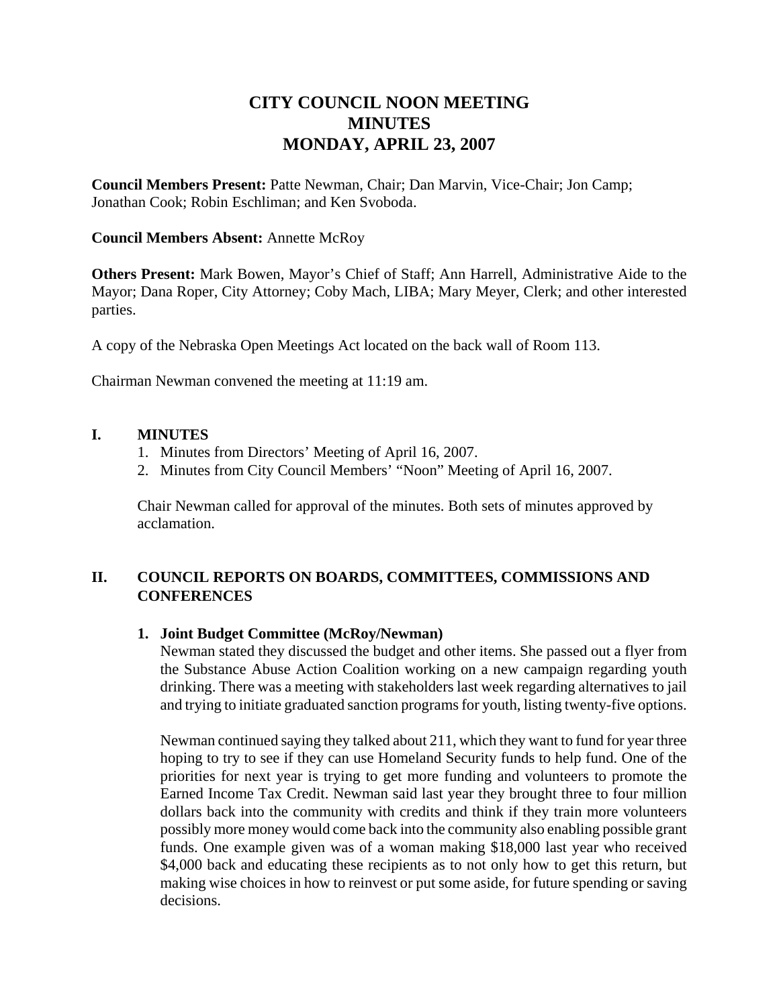# **CITY COUNCIL NOON MEETING MINUTES MONDAY, APRIL 23, 2007**

**Council Members Present:** Patte Newman, Chair; Dan Marvin, Vice-Chair; Jon Camp; Jonathan Cook; Robin Eschliman; and Ken Svoboda.

## **Council Members Absent:** Annette McRoy

**Others Present:** Mark Bowen, Mayor's Chief of Staff; Ann Harrell, Administrative Aide to the Mayor; Dana Roper, City Attorney; Coby Mach, LIBA; Mary Meyer, Clerk; and other interested parties.

A copy of the Nebraska Open Meetings Act located on the back wall of Room 113.

Chairman Newman convened the meeting at 11:19 am.

#### **I. MINUTES**

- 1. Minutes from Directors' Meeting of April 16, 2007.
- 2. Minutes from City Council Members' "Noon" Meeting of April 16, 2007.

Chair Newman called for approval of the minutes. Both sets of minutes approved by acclamation.

# **II. COUNCIL REPORTS ON BOARDS, COMMITTEES, COMMISSIONS AND CONFERENCES**

## **1. Joint Budget Committee (McRoy/Newman)**

Newman stated they discussed the budget and other items. She passed out a flyer from the Substance Abuse Action Coalition working on a new campaign regarding youth drinking. There was a meeting with stakeholders last week regarding alternatives to jail and trying to initiate graduated sanction programs for youth, listing twenty-five options.

Newman continued saying they talked about 211, which they want to fund for year three hoping to try to see if they can use Homeland Security funds to help fund. One of the priorities for next year is trying to get more funding and volunteers to promote the Earned Income Tax Credit. Newman said last year they brought three to four million dollars back into the community with credits and think if they train more volunteers possibly more money would come back into the community also enabling possible grant funds. One example given was of a woman making \$18,000 last year who received \$4,000 back and educating these recipients as to not only how to get this return, but making wise choices in how to reinvest or put some aside, for future spending or saving decisions.